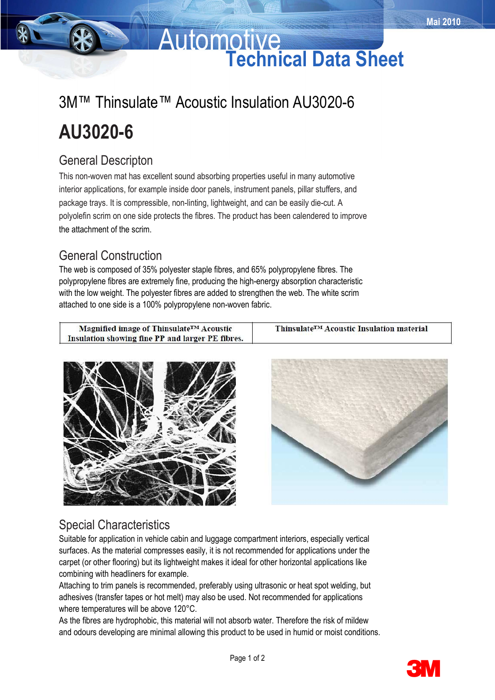# **Automotive Technical Data Sheet**

# 3M™ Thinsulate™ Acoustic Insulation AU3020-6 **AU3020-6**

## General Descripton

This non-woven mat has excellent sound absorbing properties useful in many automotive interior applications, for example inside door panels, instrument panels, pillar stuffers, and package trays. It is compressible, non-linting, lightweight, and can be easily die-cut. A polyolefin scrim on one side protects the fibres. The product has been calendered to improve the attachment of the scrim.

## General Construction

The web is composed of 35% polyester staple fibres, and 65% polypropylene fibres. The polypropylene fibres are extremely fine, producing the high-energy absorption characteristic with the low weight. The polyester fibres are added to strengthen the web. The white scrim attached to one side is a 100% polypropylene non-woven fabric.

| Magnified image of Thinsulate <sup>TM</sup> Acoustic | Thinsulate <sup>TM</sup> Acoustic Insulation material |
|------------------------------------------------------|-------------------------------------------------------|
| Insulation showing fine PP and larger PE fibres.     |                                                       |





## Special Characteristics

Suitable for application in vehicle cabin and luggage compartment interiors, especially vertical surfaces. As the material compresses easily, it is not recommended for applications under the carpet (or other flooring) but its lightweight makes it ideal for other horizontal applications like combining with headliners for example.

Attaching to trim panels is recommended, preferably using ultrasonic or heat spot welding, but adhesives (transfer tapes or hot melt) may also be used. Not recommended for applications where temperatures will be above 120°C.

As the fibres are hydrophobic, this material will not absorb water. Therefore the risk of mildew and odours developing are minimal allowing this product to be used in humid or moist conditions.